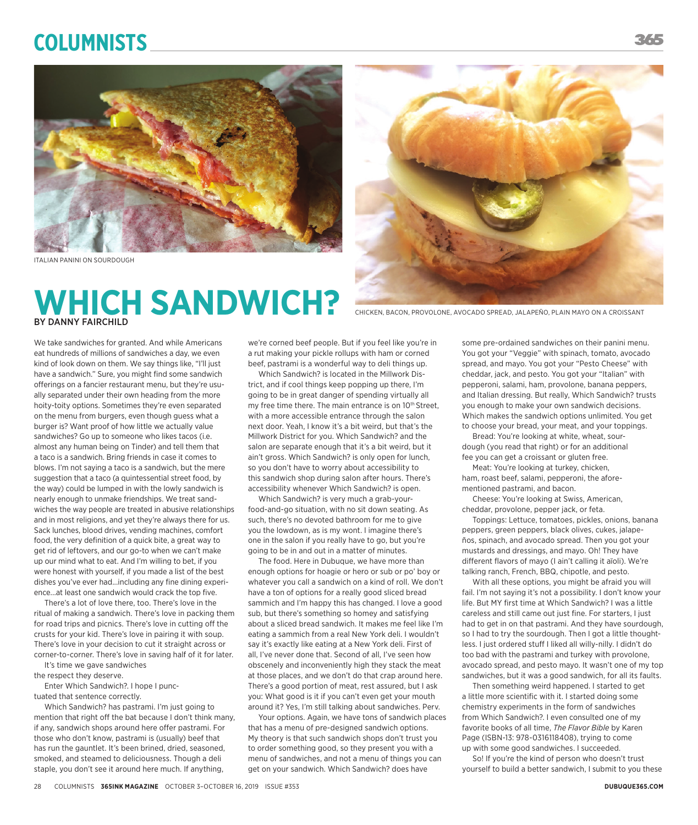# **Columnists**



ITALIAN PANINI ON SOURDOUGH

## **WHICH SANDWICH?** BY DANNY FAIRCHILD



CHICKEN, BACON, PROVOLONE, AVOCADO SPREAD, JALAPEÑO, PLAIN MAYO ON A CROISSANT

We take sandwiches for granted. And while Americans eat hundreds of millions of sandwiches a day, we even kind of look down on them. We say things like, "I'll just have a sandwich." Sure, you might find some sandwich offerings on a fancier restaurant menu, but they're usually separated under their own heading from the more hoity-toity options. Sometimes they're even separated on the menu from burgers, even though guess what a burger is? Want proof of how little we actually value sandwiches? Go up to someone who likes tacos (i.e. almost any human being on Tinder) and tell them that a taco is a sandwich. Bring friends in case it comes to blows. I'm not saying a taco is a sandwich, but the mere suggestion that a taco (a quintessential street food, by the way) could be lumped in with the lowly sandwich is nearly enough to unmake friendships. We treat sandwiches the way people are treated in abusive relationships and in most religions, and yet they're always there for us. Sack lunches, blood drives, vending machines, comfort food, the very definition of a quick bite, a great way to get rid of leftovers, and our go-to when we can't make up our mind what to eat. And I'm willing to bet, if you were honest with yourself, if you made a list of the best dishes you've ever had...including any fine dining experience...at least one sandwich would crack the top five.

There's a lot of love there, too. There's love in the ritual of making a sandwich. There's love in packing them for road trips and picnics. There's love in cutting off the crusts for your kid. There's love in pairing it with soup. There's love in your decision to cut it straight across or corner-to-corner. There's love in saving half of it for later.

It's time we gave sandwiches

the respect they deserve.

Enter Which Sandwich?. I hope I punctuated that sentence correctly.

Which Sandwich? has pastrami. I'm just going to mention that right off the bat because I don't think many, if any, sandwich shops around here offer pastrami. For those who don't know, pastrami is (usually) beef that has run the gauntlet. It's been brined, dried, seasoned, smoked, and steamed to deliciousness. Though a deli staple, you don't see it around here much. If anything,

we're corned beef people. But if you feel like you're in a rut making your pickle rollups with ham or corned beef, pastrami is a wonderful way to deli things up.

Which Sandwich? is located in the Millwork District, and if cool things keep popping up there, I'm going to be in great danger of spending virtually all my free time there. The main entrance is on 10<sup>th</sup> Street. with a more accessible entrance through the salon next door. Yeah, I know it's a bit weird, but that's the Millwork District for you. Which Sandwich? and the salon are separate enough that it's a bit weird, but it ain't gross. Which Sandwich? is only open for lunch, so you don't have to worry about accessibility to this sandwich shop during salon after hours. There's accessibility whenever Which Sandwich? is open.

Which Sandwich? is very much a grab-yourfood-and-go situation, with no sit down seating. As such, there's no devoted bathroom for me to give you the lowdown, as is my wont. I imagine there's one in the salon if you really have to go, but you're going to be in and out in a matter of minutes.

The food. Here in Dubuque, we have more than enough options for hoagie or hero or sub or po' boy or whatever you call a sandwich on a kind of roll. We don't have a ton of options for a really good sliced bread sammich and I'm happy this has changed. I love a good sub, but there's something so homey and satisfying about a sliced bread sandwich. It makes me feel like I'm eating a sammich from a real New York deli. I wouldn't say it's exactly like eating at a New York deli. First of all, I've never done that. Second of all, I've seen how obscenely and inconveniently high they stack the meat at those places, and we don't do that crap around here. There's a good portion of meat, rest assured, but I ask you: What good is it if you can't even get your mouth around it? Yes, I'm still talking about sandwiches. Perv.

Your options. Again, we have tons of sandwich places that has a menu of pre-designed sandwich options. My theory is that such sandwich shops don't trust you to order something good, so they present you with a menu of sandwiches, and not a menu of things you can get on your sandwich. Which Sandwich? does have

some pre-ordained sandwiches on their panini menu. You got your "Veggie" with spinach, tomato, avocado spread, and mayo. You got your "Pesto Cheese" with cheddar, jack, and pesto. You got your "Italian" with pepperoni, salami, ham, provolone, banana peppers, and Italian dressing. But really, Which Sandwich? trusts you enough to make your own sandwich decisions. Which makes the sandwich options unlimited. You get to choose your bread, your meat, and your toppings.

Bread: You're looking at white, wheat, sourdough (you read that right) or for an additional fee you can get a croissant or gluten free.

Meat: You're looking at turkey, chicken, ham, roast beef, salami, pepperoni, the aforementioned pastrami, and bacon.

Cheese: You're looking at Swiss, American, cheddar, provolone, pepper jack, or feta.

Toppings: Lettuce, tomatoes, pickles, onions, banana peppers, green peppers, black olives, cukes, jalapeños, spinach, and avocado spread. Then you got your mustards and dressings, and mayo. Oh! They have different flavors of mayo (I ain't calling it aïoli). We're talking ranch, French, BBQ, chipotle, and pesto.

With all these options, you might be afraid you will fail. I'm not saying it's not a possibility. I don't know your life. But MY first time at Which Sandwich? I was a little careless and still came out just fine. For starters, I just had to get in on that pastrami. And they have sourdough, so I had to try the sourdough. Then I got a little thoughtless. I just ordered stuff I liked all willy-nilly. I didn't do too bad with the pastrami and turkey with provolone, avocado spread, and pesto mayo. It wasn't one of my top sandwiches, but it was a good sandwich, for all its faults.

Then something weird happened. I started to get a little more scientific with it. I started doing some chemistry experiments in the form of sandwiches from Which Sandwich?. I even consulted one of my favorite books of all time, *The Flavor Bible* by Karen Page (ISBN-13: 978-0316118408), trying to come up with some good sandwiches. I succeeded.

So! If you're the kind of person who doesn't trust yourself to build a better sandwich, I submit to you these